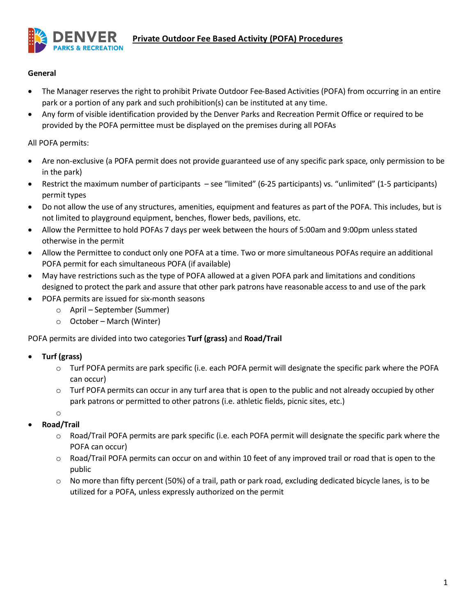

### **General**

- The Manager reserves the right to prohibit Private Outdoor Fee-Based Activities (POFA) from occurring in an entire park or a portion of any park and such prohibition(s) can be instituted at any time.
- Any form of visible identification provided by the Denver Parks and Recreation Permit Office or required to be provided by the POFA permittee must be displayed on the premises during all POFAs

# All POFA permits:

- Are non-exclusive (a POFA permit does not provide guaranteed use of any specific park space, only permission to be in the park)
- Restrict the maximum number of participants see "limited" (6-25 participants) vs. "unlimited" (1-5 participants) permit types
- Do not allow the use of any structures, amenities, equipment and features as part of the POFA. This includes, but is not limited to playground equipment, benches, flower beds, pavilions, etc.
- Allow the Permittee to hold POFAs 7 days per week between the hours of 5:00am and 9:00pm unless stated otherwise in the permit
- Allow the Permittee to conduct only one POFA at a time. Two or more simultaneous POFAs require an additional POFA permit for each simultaneous POFA (if available)
- May have restrictions such as the type of POFA allowed at a given POFA park and limitations and conditions designed to protect the park and assure that other park patrons have reasonable access to and use of the park
- POFA permits are issued for six-month seasons
	- o April September (Summer)
	- o October March (Winter)

# POFA permits are divided into two categories **Turf (grass)** and **Road/Trail**

# • **Turf (grass)**

- o Turf POFA permits are park specific (i.e. each POFA permit will designate the specific park where the POFA can occur)
- o Turf POFA permits can occur in any turf area that is open to the public and not already occupied by other park patrons or permitted to other patrons (i.e. athletic fields, picnic sites, etc.)
- o
- **Road/Trail**
	- o Road/Trail POFA permits are park specific (i.e. each POFA permit will designate the specific park where the POFA can occur)
	- $\circ$  Road/Trail POFA permits can occur on and within 10 feet of any improved trail or road that is open to the public
	- $\circ$  No more than fifty percent (50%) of a trail, path or park road, excluding dedicated bicycle lanes, is to be utilized for a POFA, unless expressly authorized on the permit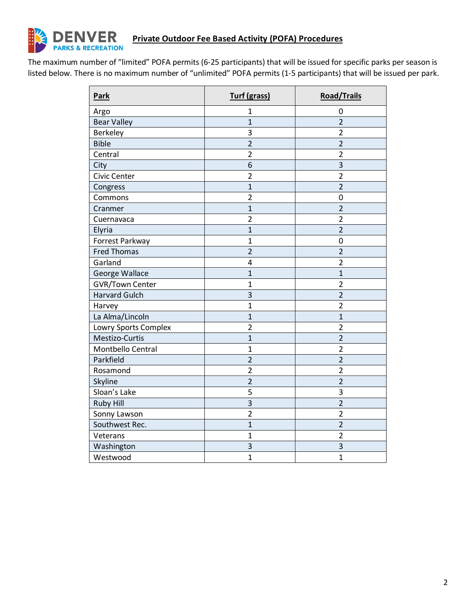

# **Private Outdoor Fee Based Activity (POFA) Procedures**

The maximum number of "limited" POFA permits (6-25 participants) that will be issued for specific parks per season is listed below. There is no maximum number of "unlimited" POFA permits (1-5 participants) that will be issued per park.

| <b>Park</b>            | <b>Turf (grass)</b> | <b>Road/Trails</b> |
|------------------------|---------------------|--------------------|
| Argo                   | $\mathbf{1}$        | 0                  |
| <b>Bear Valley</b>     | $\overline{1}$      | $\overline{2}$     |
| <b>Berkeley</b>        | 3                   | $\overline{2}$     |
| <b>Bible</b>           | $\overline{2}$      | $\overline{2}$     |
| Central                | $\overline{2}$      | $\overline{2}$     |
| City                   | 6                   | 3                  |
| <b>Civic Center</b>    | $\overline{2}$      | $\overline{2}$     |
| Congress               | $\mathbf{1}$        | $\overline{2}$     |
| Commons                | $\overline{2}$      | $\mathbf 0$        |
| Cranmer                | $\overline{1}$      | $\overline{2}$     |
| Cuernavaca             | $\overline{2}$      | $\overline{2}$     |
| Elyria                 | $\overline{1}$      | $\overline{c}$     |
| Forrest Parkway        | $\overline{1}$      | $\mathbf 0$        |
| <b>Fred Thomas</b>     | $\overline{2}$      | $\overline{2}$     |
| Garland                | 4                   | $\overline{2}$     |
| George Wallace         | $\mathbf{1}$        | $\overline{1}$     |
| <b>GVR/Town Center</b> | $\overline{1}$      | $\overline{2}$     |
| <b>Harvard Gulch</b>   | 3                   | $\overline{2}$     |
| Harvey                 | $\overline{1}$      | $\overline{2}$     |
| La Alma/Lincoln        | $\mathbf{1}$        | $\mathbf{1}$       |
| Lowry Sports Complex   | $\overline{2}$      | $\overline{2}$     |
| Mestizo-Curtis         | $\overline{1}$      | $\overline{2}$     |
| Montbello Central      | $\overline{1}$      | $\overline{2}$     |
| Parkfield              | $\overline{2}$      | $\overline{2}$     |
| Rosamond               | $\overline{2}$      | $\overline{2}$     |
| Skyline                | $\overline{2}$      | $\overline{2}$     |
| Sloan's Lake           | 5                   | 3                  |
| <b>Ruby Hill</b>       | 3                   | $\overline{2}$     |
| Sonny Lawson           | $\overline{2}$      | $\overline{2}$     |
| Southwest Rec.         | $\overline{1}$      | $\overline{2}$     |
| Veterans               | $\overline{1}$      | $\overline{2}$     |
| Washington             | 3                   | $\mathsf 3$        |
| Westwood               | $\overline{1}$      | $\overline{1}$     |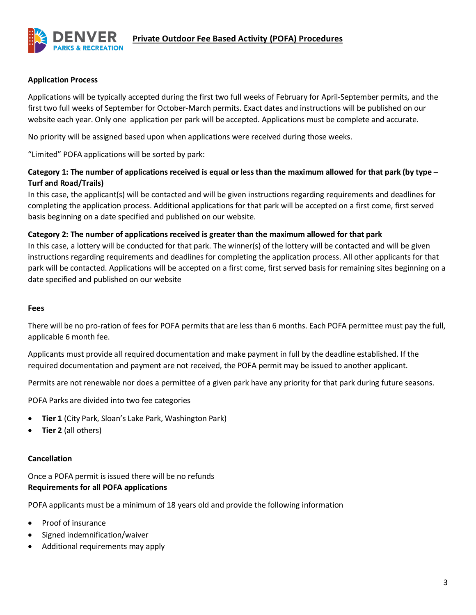

### **Application Process**

Applications will be typically accepted during the first two full weeks of February for April-September permits, and the first two full weeks of September for October-March permits. Exact dates and instructions will be published on our website each year. Only one application per park will be accepted. Applications must be complete and accurate.

No priority will be assigned based upon when applications were received during those weeks.

"Limited" POFA applications will be sorted by park:

# **Category 1: The number of applications received is equal or less than the maximum allowed for that park (by type – Turf and Road/Trails)**

In this case, the applicant(s) will be contacted and will be given instructions regarding requirements and deadlines for completing the application process. Additional applications for that park will be accepted on a first come, first served basis beginning on a date specified and published on our website.

# **Category 2: The number of applications received is greater than the maximum allowed for that park**

In this case, a lottery will be conducted for that park. The winner(s) of the lottery will be contacted and will be given instructions regarding requirements and deadlines for completing the application process. All other applicants for that park will be contacted. Applications will be accepted on a first come, first served basis for remaining sites beginning on a date specified and published on our website

#### **Fees**

There will be no pro-ration of fees for POFA permits that are less than 6 months. Each POFA permittee must pay the full, applicable 6 month fee.

Applicants must provide all required documentation and make payment in full by the deadline established. If the required documentation and payment are not received, the POFA permit may be issued to another applicant.

Permits are not renewable nor does a permittee of a given park have any priority for that park during future seasons.

POFA Parks are divided into two fee categories

- **Tier 1** (City Park, Sloan's Lake Park, Washington Park)
- **Tier 2** (all others)

# **Cancellation**

Once a POFA permit is issued there will be no refunds **Requirements for all POFA applications**

POFA applicants must be a minimum of 18 years old and provide the following information

- Proof of insurance
- Signed indemnification/waiver
- Additional requirements may apply